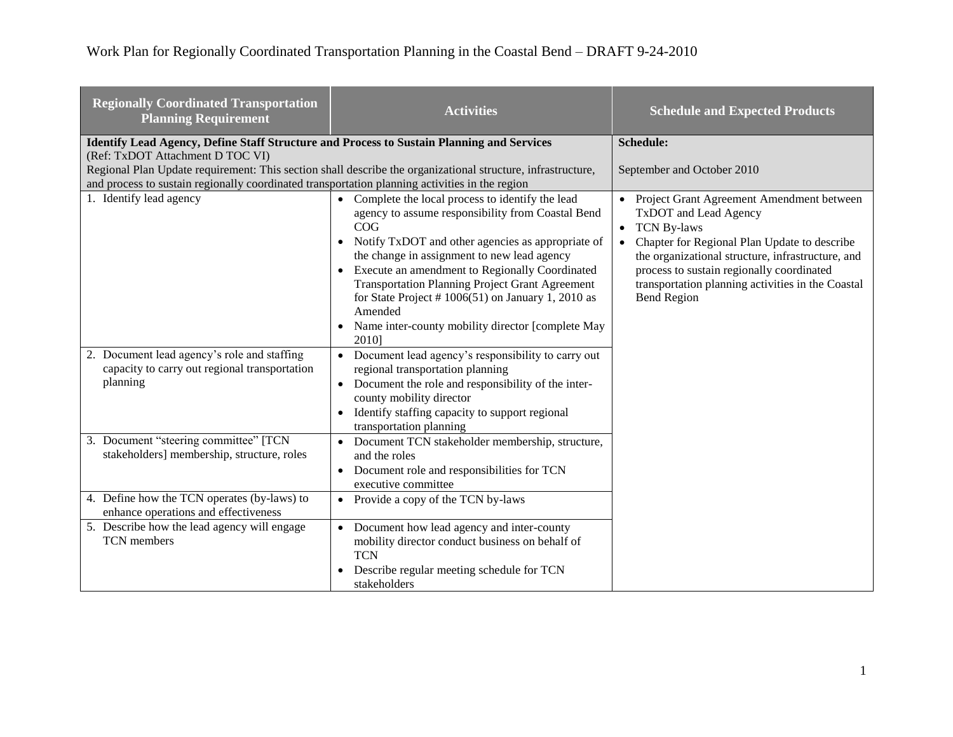| <b>Regionally Coordinated Transportation</b><br><b>Planning Requirement</b>                                                          | <b>Activities</b>                                                                                                                                                                                                                                                                                                                                                                                                                                            | <b>Schedule and Expected Products</b>                                                                                                                                                                                                                                                                                                                        |
|--------------------------------------------------------------------------------------------------------------------------------------|--------------------------------------------------------------------------------------------------------------------------------------------------------------------------------------------------------------------------------------------------------------------------------------------------------------------------------------------------------------------------------------------------------------------------------------------------------------|--------------------------------------------------------------------------------------------------------------------------------------------------------------------------------------------------------------------------------------------------------------------------------------------------------------------------------------------------------------|
| <b>Identify Lead Agency, Define Staff Structure and Process to Sustain Planning and Services</b><br>(Ref: TxDOT Attachment D TOC VI) |                                                                                                                                                                                                                                                                                                                                                                                                                                                              | Schedule:                                                                                                                                                                                                                                                                                                                                                    |
| and process to sustain regionally coordinated transportation planning activities in the region                                       | Regional Plan Update requirement: This section shall describe the organizational structure, infrastructure,                                                                                                                                                                                                                                                                                                                                                  | September and October 2010                                                                                                                                                                                                                                                                                                                                   |
| 1. Identify lead agency                                                                                                              | Complete the local process to identify the lead<br>agency to assume responsibility from Coastal Bend<br>COG<br>Notify TxDOT and other agencies as appropriate of<br>the change in assignment to new lead agency<br>Execute an amendment to Regionally Coordinated<br><b>Transportation Planning Project Grant Agreement</b><br>for State Project # $1006(51)$ on January 1, 2010 as<br>Amended<br>Name inter-county mobility director [complete May<br>2010] | Project Grant Agreement Amendment between<br>$\bullet$<br>TxDOT and Lead Agency<br><b>TCN By-laws</b><br>$\bullet$<br>Chapter for Regional Plan Update to describe<br>$\bullet$<br>the organizational structure, infrastructure, and<br>process to sustain regionally coordinated<br>transportation planning activities in the Coastal<br><b>Bend Region</b> |
| 2. Document lead agency's role and staffing<br>capacity to carry out regional transportation<br>planning                             | Document lead agency's responsibility to carry out<br>$\bullet$<br>regional transportation planning<br>Document the role and responsibility of the inter-<br>county mobility director<br>Identify staffing capacity to support regional<br>transportation planning                                                                                                                                                                                           |                                                                                                                                                                                                                                                                                                                                                              |
| 3. Document "steering committee" [TCN]<br>stakeholders] membership, structure, roles                                                 | Document TCN stakeholder membership, structure,<br>and the roles<br>Document role and responsibilities for TCN<br>executive committee                                                                                                                                                                                                                                                                                                                        |                                                                                                                                                                                                                                                                                                                                                              |
| 4. Define how the TCN operates (by-laws) to<br>enhance operations and effectiveness                                                  | Provide a copy of the TCN by-laws<br>$\bullet$                                                                                                                                                                                                                                                                                                                                                                                                               |                                                                                                                                                                                                                                                                                                                                                              |
| 5. Describe how the lead agency will engage<br>TCN members                                                                           | Document how lead agency and inter-county<br>mobility director conduct business on behalf of<br><b>TCN</b><br>Describe regular meeting schedule for TCN<br>stakeholders                                                                                                                                                                                                                                                                                      |                                                                                                                                                                                                                                                                                                                                                              |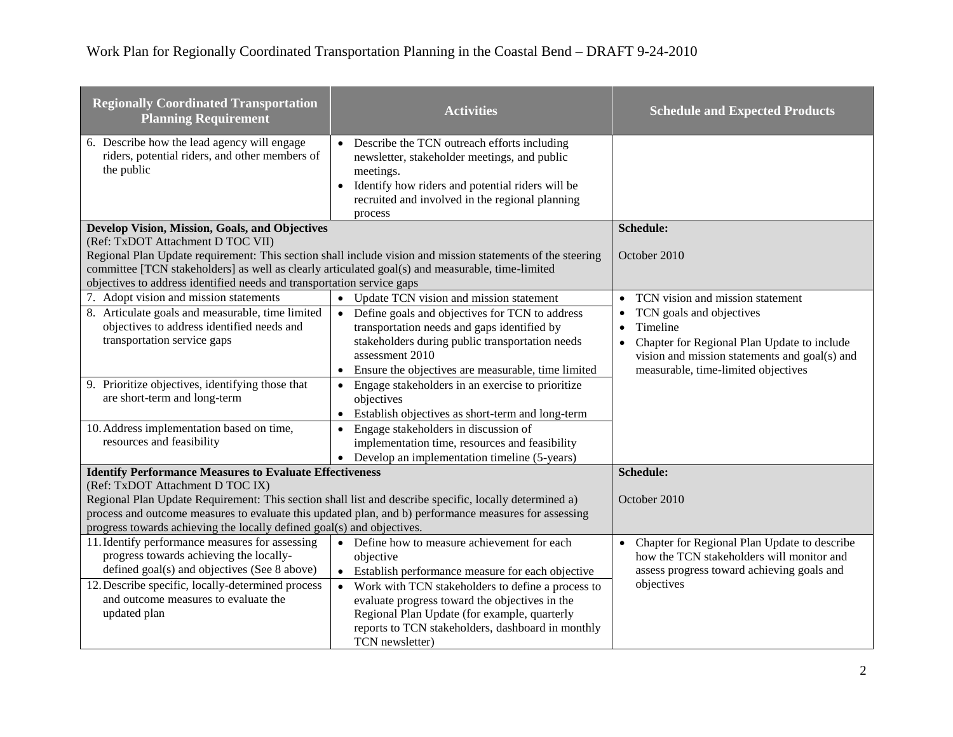| <b>Regionally Coordinated Transportation</b><br><b>Planning Requirement</b>                                                                                                                                                                                                                                                   | <b>Activities</b>                                                                                                                                                                                                                                   | <b>Schedule and Expected Products</b>                                                                                                                                                                              |
|-------------------------------------------------------------------------------------------------------------------------------------------------------------------------------------------------------------------------------------------------------------------------------------------------------------------------------|-----------------------------------------------------------------------------------------------------------------------------------------------------------------------------------------------------------------------------------------------------|--------------------------------------------------------------------------------------------------------------------------------------------------------------------------------------------------------------------|
| 6. Describe how the lead agency will engage<br>riders, potential riders, and other members of<br>the public                                                                                                                                                                                                                   | Describe the TCN outreach efforts including<br>newsletter, stakeholder meetings, and public<br>meetings.<br>Identify how riders and potential riders will be<br>$\bullet$<br>recruited and involved in the regional planning                        |                                                                                                                                                                                                                    |
|                                                                                                                                                                                                                                                                                                                               | process                                                                                                                                                                                                                                             |                                                                                                                                                                                                                    |
| Develop Vision, Mission, Goals, and Objectives                                                                                                                                                                                                                                                                                |                                                                                                                                                                                                                                                     | <b>Schedule:</b>                                                                                                                                                                                                   |
| (Ref: TxDOT Attachment D TOC VII)<br>Regional Plan Update requirement: This section shall include vision and mission statements of the steering<br>committee [TCN stakeholders] as well as clearly articulated goal(s) and measurable, time-limited<br>objectives to address identified needs and transportation service gaps |                                                                                                                                                                                                                                                     | October 2010                                                                                                                                                                                                       |
| 7. Adopt vision and mission statements                                                                                                                                                                                                                                                                                        | Update TCN vision and mission statement<br>$\bullet$                                                                                                                                                                                                | TCN vision and mission statement<br>$\bullet$                                                                                                                                                                      |
| 8. Articulate goals and measurable, time limited<br>objectives to address identified needs and<br>transportation service gaps                                                                                                                                                                                                 | Define goals and objectives for TCN to address<br>$\bullet$<br>transportation needs and gaps identified by<br>stakeholders during public transportation needs<br>assessment 2010<br>Ensure the objectives are measurable, time limited<br>$\bullet$ | TCN goals and objectives<br>$\bullet$<br>Timeline<br>$\bullet$<br>Chapter for Regional Plan Update to include<br>$\bullet$<br>vision and mission statements and goal(s) and<br>measurable, time-limited objectives |
| 9. Prioritize objectives, identifying those that<br>are short-term and long-term                                                                                                                                                                                                                                              | Engage stakeholders in an exercise to prioritize<br>$\bullet$<br>objectives<br>Establish objectives as short-term and long-term<br>$\bullet$                                                                                                        |                                                                                                                                                                                                                    |
| 10. Address implementation based on time,<br>resources and feasibility                                                                                                                                                                                                                                                        | Engage stakeholders in discussion of<br>$\bullet$<br>implementation time, resources and feasibility<br>Develop an implementation timeline (5-years)<br>$\bullet$                                                                                    |                                                                                                                                                                                                                    |
| <b>Identify Performance Measures to Evaluate Effectiveness</b>                                                                                                                                                                                                                                                                |                                                                                                                                                                                                                                                     | Schedule:                                                                                                                                                                                                          |
| (Ref: TxDOT Attachment D TOC IX)<br>Regional Plan Update Requirement: This section shall list and describe specific, locally determined a)<br>process and outcome measures to evaluate this updated plan, and b) performance measures for assessing<br>progress towards achieving the locally defined goal(s) and objectives. |                                                                                                                                                                                                                                                     | October 2010                                                                                                                                                                                                       |
| 11. Identify performance measures for assessing                                                                                                                                                                                                                                                                               | • Define how to measure achievement for each                                                                                                                                                                                                        | Chapter for Regional Plan Update to describe<br>$\bullet$                                                                                                                                                          |
| progress towards achieving the locally-                                                                                                                                                                                                                                                                                       | objective                                                                                                                                                                                                                                           | how the TCN stakeholders will monitor and                                                                                                                                                                          |
| defined goal(s) and objectives (See 8 above)                                                                                                                                                                                                                                                                                  | Establish performance measure for each objective<br>$\bullet$                                                                                                                                                                                       | assess progress toward achieving goals and                                                                                                                                                                         |
| 12. Describe specific, locally-determined process                                                                                                                                                                                                                                                                             | • Work with TCN stakeholders to define a process to                                                                                                                                                                                                 | objectives                                                                                                                                                                                                         |
| and outcome measures to evaluate the                                                                                                                                                                                                                                                                                          | evaluate progress toward the objectives in the                                                                                                                                                                                                      |                                                                                                                                                                                                                    |
| updated plan                                                                                                                                                                                                                                                                                                                  | Regional Plan Update (for example, quarterly                                                                                                                                                                                                        |                                                                                                                                                                                                                    |
|                                                                                                                                                                                                                                                                                                                               | reports to TCN stakeholders, dashboard in monthly<br>TCN newsletter)                                                                                                                                                                                |                                                                                                                                                                                                                    |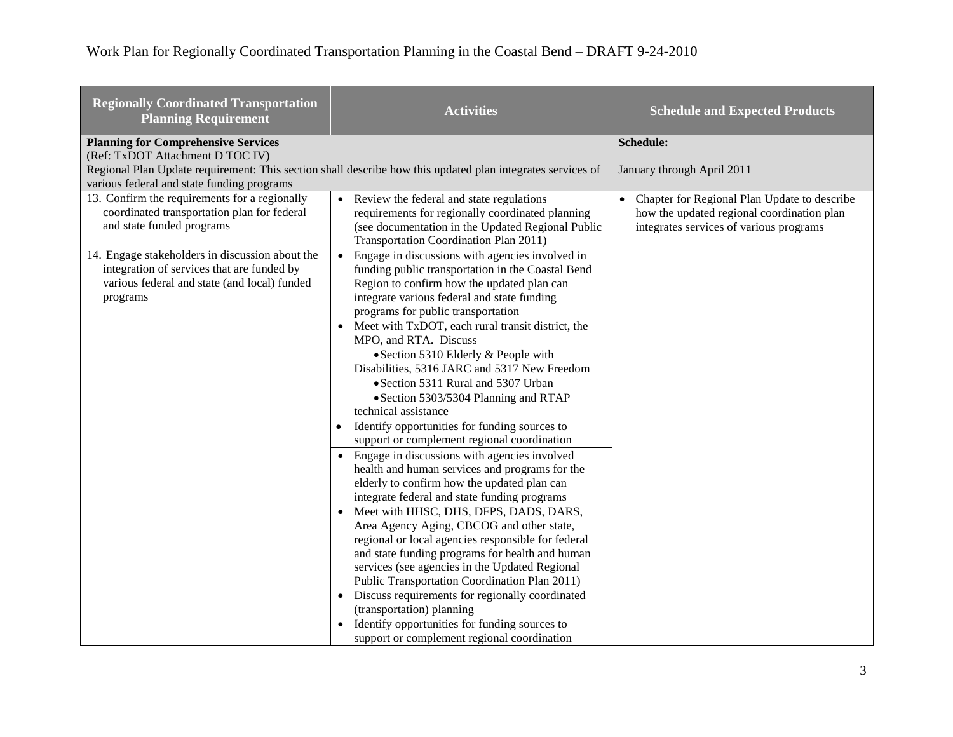**College** 

| <b>Regionally Coordinated Transportation</b><br><b>Planning Requirement</b>                                                                               | <b>Activities</b>                                                                                                                                                                                                                                                                                                                                                                                                                                                                                                                                                                                                                                                                                                                                                                                                                                                                                                                                                                                                                                                                                                                                                                                                                                                                                                                                                            | <b>Schedule and Expected Products</b>                                                                                                              |
|-----------------------------------------------------------------------------------------------------------------------------------------------------------|------------------------------------------------------------------------------------------------------------------------------------------------------------------------------------------------------------------------------------------------------------------------------------------------------------------------------------------------------------------------------------------------------------------------------------------------------------------------------------------------------------------------------------------------------------------------------------------------------------------------------------------------------------------------------------------------------------------------------------------------------------------------------------------------------------------------------------------------------------------------------------------------------------------------------------------------------------------------------------------------------------------------------------------------------------------------------------------------------------------------------------------------------------------------------------------------------------------------------------------------------------------------------------------------------------------------------------------------------------------------------|----------------------------------------------------------------------------------------------------------------------------------------------------|
| <b>Planning for Comprehensive Services</b><br>(Ref: TxDOT Attachment D TOC IV)<br>various federal and state funding programs                              | Regional Plan Update requirement: This section shall describe how this updated plan integrates services of                                                                                                                                                                                                                                                                                                                                                                                                                                                                                                                                                                                                                                                                                                                                                                                                                                                                                                                                                                                                                                                                                                                                                                                                                                                                   | Schedule:<br>January through April 2011                                                                                                            |
| 13. Confirm the requirements for a regionally<br>coordinated transportation plan for federal<br>and state funded programs                                 | • Review the federal and state regulations<br>requirements for regionally coordinated planning<br>(see documentation in the Updated Regional Public<br>Transportation Coordination Plan 2011)                                                                                                                                                                                                                                                                                                                                                                                                                                                                                                                                                                                                                                                                                                                                                                                                                                                                                                                                                                                                                                                                                                                                                                                | Chapter for Regional Plan Update to describe<br>$\bullet$<br>how the updated regional coordination plan<br>integrates services of various programs |
| 14. Engage stakeholders in discussion about the<br>integration of services that are funded by<br>various federal and state (and local) funded<br>programs | Engage in discussions with agencies involved in<br>$\bullet$<br>funding public transportation in the Coastal Bend<br>Region to confirm how the updated plan can<br>integrate various federal and state funding<br>programs for public transportation<br>Meet with TxDOT, each rural transit district, the<br>$\bullet$<br>MPO, and RTA. Discuss<br>• Section 5310 Elderly & People with<br>Disabilities, 5316 JARC and 5317 New Freedom<br>• Section 5311 Rural and 5307 Urban<br>• Section 5303/5304 Planning and RTAP<br>technical assistance<br>Identify opportunities for funding sources to<br>$\bullet$<br>support or complement regional coordination<br>Engage in discussions with agencies involved<br>health and human services and programs for the<br>elderly to confirm how the updated plan can<br>integrate federal and state funding programs<br>Meet with HHSC, DHS, DFPS, DADS, DARS,<br>$\bullet$<br>Area Agency Aging, CBCOG and other state,<br>regional or local agencies responsible for federal<br>and state funding programs for health and human<br>services (see agencies in the Updated Regional<br>Public Transportation Coordination Plan 2011)<br>• Discuss requirements for regionally coordinated<br>(transportation) planning<br>Identify opportunities for funding sources to<br>$\bullet$<br>support or complement regional coordination |                                                                                                                                                    |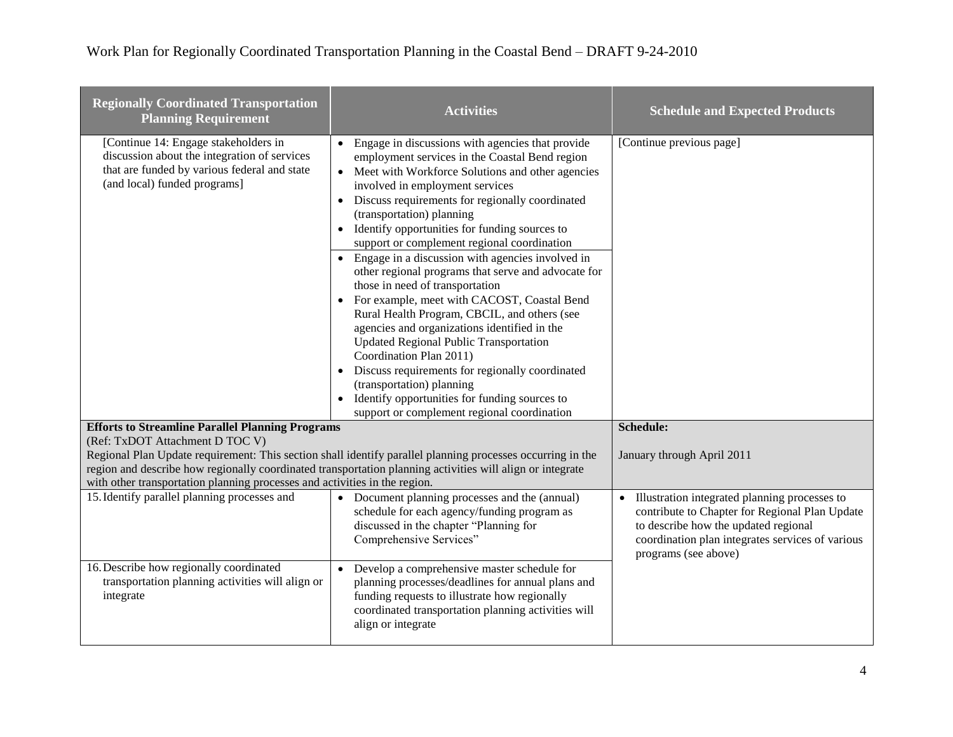**The Contract of Contract State** 

| <b>Regionally Coordinated Transportation</b><br><b>Planning Requirement</b>                                                                                                                                                                                                                           | <b>Activities</b>                                                                                                                                                                                                                                                                                                                                                                                                                                                                                                                                                                                                                                                                                                                                                                                                                                                                                                                    | <b>Schedule and Expected Products</b>                                                                                                                                                                               |
|-------------------------------------------------------------------------------------------------------------------------------------------------------------------------------------------------------------------------------------------------------------------------------------------------------|--------------------------------------------------------------------------------------------------------------------------------------------------------------------------------------------------------------------------------------------------------------------------------------------------------------------------------------------------------------------------------------------------------------------------------------------------------------------------------------------------------------------------------------------------------------------------------------------------------------------------------------------------------------------------------------------------------------------------------------------------------------------------------------------------------------------------------------------------------------------------------------------------------------------------------------|---------------------------------------------------------------------------------------------------------------------------------------------------------------------------------------------------------------------|
| [Continue 14: Engage stakeholders in<br>discussion about the integration of services<br>that are funded by various federal and state<br>(and local) funded programs]                                                                                                                                  | Engage in discussions with agencies that provide<br>employment services in the Coastal Bend region<br>Meet with Workforce Solutions and other agencies<br>involved in employment services<br>Discuss requirements for regionally coordinated<br>(transportation) planning<br>Identify opportunities for funding sources to<br>support or complement regional coordination<br>• Engage in a discussion with agencies involved in<br>other regional programs that serve and advocate for<br>those in need of transportation<br>For example, meet with CACOST, Coastal Bend<br>Rural Health Program, CBCIL, and others (see<br>agencies and organizations identified in the<br><b>Updated Regional Public Transportation</b><br>Coordination Plan 2011)<br>Discuss requirements for regionally coordinated<br>(transportation) planning<br>Identify opportunities for funding sources to<br>support or complement regional coordination | [Continue previous page]                                                                                                                                                                                            |
| <b>Efforts to Streamline Parallel Planning Programs</b><br>(Ref: TxDOT Attachment D TOC V)                                                                                                                                                                                                            |                                                                                                                                                                                                                                                                                                                                                                                                                                                                                                                                                                                                                                                                                                                                                                                                                                                                                                                                      | Schedule:                                                                                                                                                                                                           |
| Regional Plan Update requirement: This section shall identify parallel planning processes occurring in the<br>region and describe how regionally coordinated transportation planning activities will align or integrate<br>with other transportation planning processes and activities in the region. |                                                                                                                                                                                                                                                                                                                                                                                                                                                                                                                                                                                                                                                                                                                                                                                                                                                                                                                                      | January through April 2011                                                                                                                                                                                          |
| 15. Identify parallel planning processes and                                                                                                                                                                                                                                                          | • Document planning processes and the (annual)<br>schedule for each agency/funding program as<br>discussed in the chapter "Planning for<br>Comprehensive Services"                                                                                                                                                                                                                                                                                                                                                                                                                                                                                                                                                                                                                                                                                                                                                                   | Illustration integrated planning processes to<br>contribute to Chapter for Regional Plan Update<br>to describe how the updated regional<br>coordination plan integrates services of various<br>programs (see above) |
| 16. Describe how regionally coordinated<br>transportation planning activities will align or<br>integrate                                                                                                                                                                                              | Develop a comprehensive master schedule for<br>$\bullet$<br>planning processes/deadlines for annual plans and<br>funding requests to illustrate how regionally<br>coordinated transportation planning activities will<br>align or integrate                                                                                                                                                                                                                                                                                                                                                                                                                                                                                                                                                                                                                                                                                          |                                                                                                                                                                                                                     |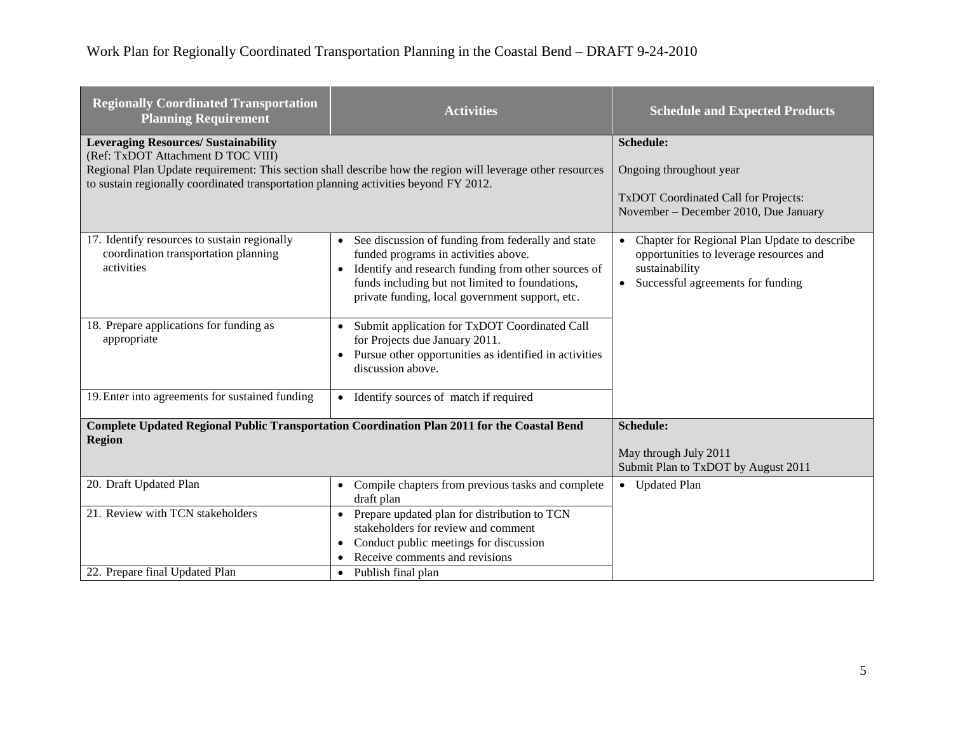# Work Plan for Regionally Coordinated Transportation Planning in the Coastal Bend – DRAFT 9-24-2010

| <b>Regionally Coordinated Transportation</b><br><b>Planning Requirement</b>                                                                                               | <b>Activities</b>                                                                                                                                                                                                                                                                 | <b>Schedule and Expected Products</b>                                                                                                                                    |
|---------------------------------------------------------------------------------------------------------------------------------------------------------------------------|-----------------------------------------------------------------------------------------------------------------------------------------------------------------------------------------------------------------------------------------------------------------------------------|--------------------------------------------------------------------------------------------------------------------------------------------------------------------------|
| <b>Leveraging Resources/ Sustainability</b><br>(Ref: TxDOT Attachment D TOC VIII)<br>to sustain regionally coordinated transportation planning activities beyond FY 2012. | Regional Plan Update requirement: This section shall describe how the region will leverage other resources                                                                                                                                                                        | Schedule:<br>Ongoing throughout year<br>TxDOT Coordinated Call for Projects:<br>November – December 2010, Due January                                                    |
| 17. Identify resources to sustain regionally<br>coordination transportation planning<br>activities                                                                        | See discussion of funding from federally and state<br>$\bullet$<br>funded programs in activities above.<br>Identify and research funding from other sources of<br>$\bullet$<br>funds including but not limited to foundations,<br>private funding, local government support, etc. | Chapter for Regional Plan Update to describe<br>$\bullet$<br>opportunities to leverage resources and<br>sustainability<br>Successful agreements for funding<br>$\bullet$ |
| 18. Prepare applications for funding as<br>appropriate                                                                                                                    | Submit application for TxDOT Coordinated Call<br>$\bullet$<br>for Projects due January 2011.<br>Pursue other opportunities as identified in activities<br>$\bullet$<br>discussion above.                                                                                          |                                                                                                                                                                          |
| 19. Enter into agreements for sustained funding                                                                                                                           | Identify sources of match if required<br>$\bullet$                                                                                                                                                                                                                                |                                                                                                                                                                          |
| <b>Complete Updated Regional Public Transportation Coordination Plan 2011 for the Coastal Bend</b><br><b>Region</b>                                                       |                                                                                                                                                                                                                                                                                   | Schedule:                                                                                                                                                                |
|                                                                                                                                                                           |                                                                                                                                                                                                                                                                                   | May through July 2011<br>Submit Plan to TxDOT by August 2011                                                                                                             |
| 20. Draft Updated Plan                                                                                                                                                    | Compile chapters from previous tasks and complete<br>$\bullet$<br>draft plan                                                                                                                                                                                                      | • Updated Plan                                                                                                                                                           |
| 21. Review with TCN stakeholders<br>22. Prepare final Updated Plan                                                                                                        | Prepare updated plan for distribution to TCN<br>$\bullet$<br>stakeholders for review and comment<br>Conduct public meetings for discussion<br>٠<br>Receive comments and revisions<br>$\bullet$                                                                                    |                                                                                                                                                                          |
|                                                                                                                                                                           | Publish final plan<br>$\bullet$                                                                                                                                                                                                                                                   |                                                                                                                                                                          |